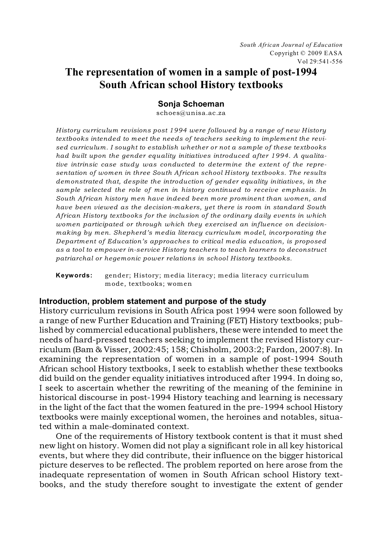*South African Journal of Education* Copyright © 2009 EASA Vol 29:541-556

# **The representation of women in a sample of post-1994 South African school History textbooks**

#### **Sonja Schoeman**

schoes@unisa.ac.za

*History curriculum revisions post 1994 were followed by a range of new History textbooks intended to meet the needs of teachers seeking to implement the revised curriculum. I sought to establish whether or not a sample of these textbooks had built upon the gender equality initiatives introduced after 1994. A qualitative intrinsic case study was conducted to determine the extent of the representation of women in three South African school History textbooks. The results demonstrated that, despite the introduction of gender equality initiatives, in the sample selected the role of men in history continued to receive emphasis. In South African history men have indeed been more prominent than women, and have been viewed as the decision-makers, yet there is room in standard South African History textbooks for the inclusion of the ordinary daily events in which women participated or through which they exercised an influence on decisionmaking by men. Shepherd's media literacy curriculum model, incorporating the Department of Education's approaches to critical media education, is proposed as a tool to empower in-service History teachers to teach learners to deconstruct patriarchal or hegemonic power relations in school History textbooks.* 

**Keywords:** gender; History; media literacy; media literacy curriculum mode, textbooks; women

#### **Introduction, problem statement and purpose of the study**

History curriculum revisions in South Africa post 1994 were soon followed by a range of new Further Education and Training (FET) History textbooks; published by commercial educational publishers, these were intended to meet the needs of hard-pressed teachers seeking to implement the revised History curriculum (Bam & Visser, 2002:45; 158; Chisholm, 2003:2; Fardon, 2007:8). In examining the representation of women in a sample of post-1994 South African school History textbooks, I seek to establish whether these textbooks did build on the gender equality initiatives introduced after 1994. In doing so, I seek to ascertain whether the rewriting of the meaning of the feminine in historical discourse in post-1994 History teaching and learning is necessary in the light of the fact that the women featured in the pre-1994 school History textbooks were mainly exceptional women, the heroines and notables, situated within a male-dominated context.

One of the requirements of History textbook content is that it must shed new light on history. Women did not play a significant role in all key historical events, but where they did contribute, their influence on the bigger historical picture deserves to be reflected. The problem reported on here arose from the inadequate representation of women in South African school History textbooks, and the study therefore sought to investigate the extent of gender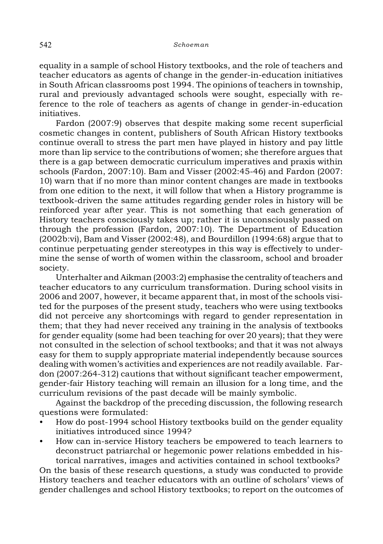equality in a sample of school History textbooks, and the role of teachers and teacher educators as agents of change in the gender-in-education initiatives in South African classrooms post 1994. The opinions of teachers in township, rural and previously advantaged schools were sought, especially with reference to the role of teachers as agents of change in gender-in-education initiatives.

Fardon (2007:9) observes that despite making some recent superficial cosmetic changes in content, publishers of South African History textbooks continue overall to stress the part men have played in history and pay little more than lip service to the contributions of women; she therefore argues that there is a gap between democratic curriculum imperatives and praxis within schools (Fardon, 2007:10). Bam and Visser (2002:45-46) and Fardon (2007: 10) warn that if no more than minor content changes are made in textbooks from one edition to the next, it will follow that when a History programme is textbook-driven the same attitudes regarding gender roles in history will be reinforced year after year. This is not something that each generation of History teachers consciously takes up; rather it is unconsciously passed on through the profession (Fardon, 2007:10). The Department of Education (2002b:vi), Bam and Visser (2002:48), and Bourdillon (1994:68) argue that to continue perpetuating gender stereotypes in this way is effectively to undermine the sense of worth of women within the classroom, school and broader society.

Unterhalter and Aikman (2003:2) emphasise the centrality of teachers and teacher educators to any curriculum transformation. During school visits in 2006 and 2007, however, it became apparent that, in most of the schools visited for the purposes of the present study, teachers who were using textbooks did not perceive any shortcomings with regard to gender representation in them; that they had never received any training in the analysis of textbooks for gender equality (some had been teaching for over 20 years); that they were not consulted in the selection of school textbooks; and that it was not always easy for them to supply appropriate material independently because sources dealing with women's activities and experiences are not readily available. Fardon (2007:264-312) cautions that without significant teacher empowerment, gender-fair History teaching will remain an illusion for a long time, and the curriculum revisions of the past decade will be mainly symbolic.

Against the backdrop of the preceding discussion, the following research questions were formulated:

- How do post-1994 school History textbooks build on the gender equality initiatives introduced since 1994?
- How can in-service History teachers be empowered to teach learners to deconstruct patriarchal or hegemonic power relations embedded in historical narratives, images and activities contained in school textbooks?

On the basis of these research questions, a study was conducted to provide History teachers and teacher educators with an outline of scholars' views of gender challenges and school History textbooks; to report on the outcomes of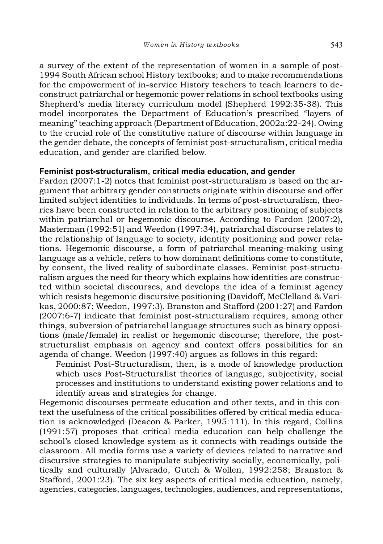a survey of the extent of the representation of women in a sample of post-1994 South African school History textbooks; and to make recommendations for the empowerment of in-service History teachers to teach learners to deconstruct patriarchal or hegemonic power relations in school textbooks using Shepherd's media literacy curriculum model (Shepherd 1992:35-38). This model incorporates the Department of Education's prescribed "layers of meaning" teaching approach (Department of Education, 2002a:22-24). Owing to the crucial role of the constitutive nature of discourse within language in the gender debate, the concepts of feminist post-structuralism, critical media education, and gender are clarified below.

# **Feminist post-structuralism, critical media education, and gender**

Fardon (2007:1-2) notes that feminist post-structuralism is based on the argument that arbitrary gender constructs originate within discourse and offer limited subject identities to individuals. In terms of post-structuralism, theories have been constructed in relation to the arbitrary positioning of subjects within patriarchal or hegemonic discourse. According to Fardon (2007:2), Masterman (1992:51) and Weedon (1997:34), patriarchal discourse relates to the relationship of language to society, identity positioning and power relations. Hegemonic discourse, a form of patriarchal meaning-making using language as a vehicle, refers to how dominant definitions come to constitute, by consent, the lived reality of subordinate classes. Feminist post-structuralism argues the need for theory which explains how identities are constructed within societal discourses, and develops the idea of a feminist agency which resists hegemonic discursive positioning (Davidoff, McClelland & Varikas, 2000:87; Weedon, 1997:3). Branston and Stafford (2001:27) and Fardon (2007:6-7) indicate that feminist post-structuralism requires, among other things, subversion of patriarchal language structures such as binary oppositions (male/female) in realist or hegemonic discourse; therefore, the poststructuralist emphasis on agency and context offers possibilities for an agenda of change. Weedon (1997:40) argues as follows in this regard:

Feminist Post-Structuralism, then, is a mode of knowledge production which uses Post-Structuralist theories of language, subjectivity, social processes and institutions to understand existing power relations and to identify areas and strategies for change.

Hegemonic discourses permeate education and other texts, and in this context the usefulness of the critical possibilities offered by critical media education is acknowledged (Deacon & Parker, 1995:111). In this regard, Collins (1991:57) proposes that critical media education can help challenge the school's closed knowledge system as it connects with readings outside the classroom. All media forms use a variety of devices related to narrative and discursive strategies to manipulate subjectivity socially, economically, politically and culturally (Alvarado, Gutch & Wollen, 1992:258; Branston & Stafford, 2001:23). The six key aspects of critical media education, namely, agencies, categories, languages, technologies, audiences, and representations,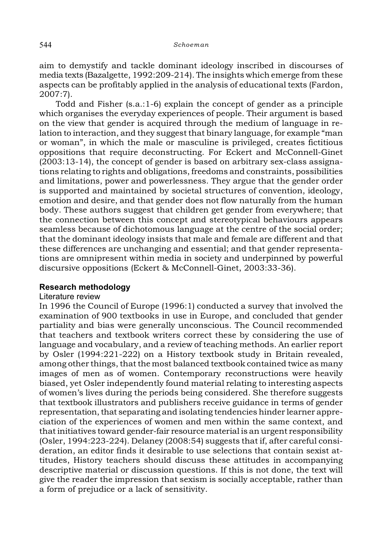aim to demystify and tackle dominant ideology inscribed in discourses of media texts (Bazalgette, 1992:209-214). The insights which emerge from these aspects can be profitably applied in the analysis of educational texts (Fardon, 2007:7).

Todd and Fisher (s.a.:1-6) explain the concept of gender as a principle which organises the everyday experiences of people. Their argument is based on the view that gender is acquired through the medium of language in relation to interaction, and they suggestthat binary language, for example "man or woman", in which the male or masculine is privileged, creates fictitious oppositions that require deconstructing. For Eckert and McConnell-Ginet (2003:13-14), the concept of gender is based on arbitrary sex-class assignations relating to rights and obligations, freedoms and constraints, possibilities and limitations, power and powerlessness. They argue that the gender order is supported and maintained by societal structures of convention, ideology, emotion and desire, and that gender does not flow naturally from the human body. These authors suggest that children get gender from everywhere; that the connection between this concept and stereotypical behaviours appears seamless because of dichotomous language at the centre of the social order; that the dominant ideology insists that male and female are different and that these differences are unchanging and essential; and that gender representations are omnipresent within media in society and underpinned by powerful discursive oppositions (Eckert & McConnell-Ginet, 2003:33-36).

# **Research methodology**

# Literature review

In 1996 the Council of Europe (1996:1) conducted a survey that involved the examination of 900 textbooks in use in Europe, and concluded that gender partiality and bias were generally unconscious. The Council recommended that teachers and textbook writers correct these by considering the use of language and vocabulary, and a review of teaching methods. An earlier report by Osler (1994:221-222) on a History textbook study in Britain revealed, among other things, that the most balanced textbook contained twice as many images of men as of women. Contemporary reconstructions were heavily biased, yet Osler independently found material relating to interesting aspects of women's lives during the periods being considered. She therefore suggests that textbook illustrators and publishers receive guidance in terms of gender representation, that separating and isolating tendencies hinder learner appreciation of the experiences of women and men within the same context, and that initiatives toward gender-fair resource material is an urgent responsibility (Osler, 1994:223-224). Delaney (2008:54) suggests that if, after careful consideration, an editor finds it desirable to use selections that contain sexist attitudes, History teachers should discuss these attitudes in accompanying descriptive material or discussion questions. If this is not done, the text will give the reader the impression that sexism is socially acceptable, rather than a form of prejudice or a lack of sensitivity.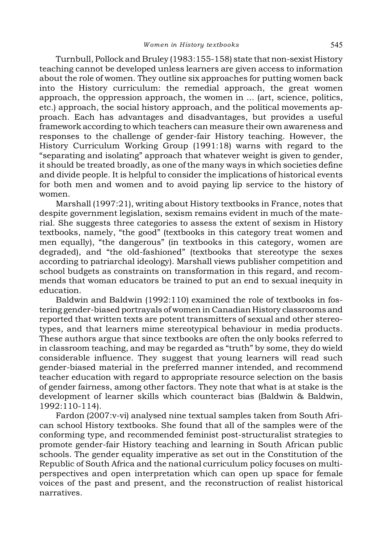Turnbull, Pollock and Bruley (1983:155-158) state that non-sexist History teaching cannot be developed unless learners are given access to information about the role of women. They outline six approaches for putting women back into the History curriculum: the remedial approach, the great women approach, the oppression approach, the women in ... (art, science, politics, etc.) approach, the social history approach, and the political movements approach. Each has advantages and disadvantages, but provides a useful framework according to which teachers can measure their own awareness and responses to the challenge of gender-fair History teaching. However, the History Curriculum Working Group (1991:18) warns with regard to the "separating and isolating" approach that whatever weight is given to gender, it should be treated broadly, as one of the many ways in which societies define and divide people. It is helpful to consider the implications of historical events for both men and women and to avoid paying lip service to the history of women.

Marshall (1997:21), writing about History textbooks in France, notes that despite government legislation, sexism remains evident in much of the material. She suggests three categories to assess the extent of sexism in History textbooks, namely, "the good" (textbooks in this category treat women and men equally), "the dangerous" (in textbooks in this category, women are degraded), and "the old-fashioned" (textbooks that stereotype the sexes according to patriarchal ideology). Marshall views publisher competition and school budgets as constraints on transformation in this regard, and recommends that woman educators be trained to put an end to sexual inequity in education.

Baldwin and Baldwin (1992:110) examined the role of textbooks in fostering gender-biased portrayals of women in Canadian History classrooms and reported that written texts are potent transmitters of sexual and other stereotypes, and that learners mime stereotypical behaviour in media products. These authors argue that since textbooks are often the only books referred to in classroom teaching, and may be regarded as "truth" by some, they do wield considerable influence. They suggest that young learners will read such gender-biased material in the preferred manner intended, and recommend teacher education with regard to appropriate resource selection on the basis of gender fairness, among other factors. They note that what is at stake is the development of learner skills which counteract bias (Baldwin & Baldwin, 1992:110-114).

Fardon (2007:v-vi) analysed nine textual samples taken from South African school History textbooks. She found that all of the samples were of the conforming type, and recommended feminist post-structuralist strategies to promote gender-fair History teaching and learning in South African public schools. The gender equality imperative as set out in the Constitution of the Republic of South Africa and the national curriculum policy focuses on multiperspectives and open interpretation which can open up space for female voices of the past and present, and the reconstruction of realist historical narratives.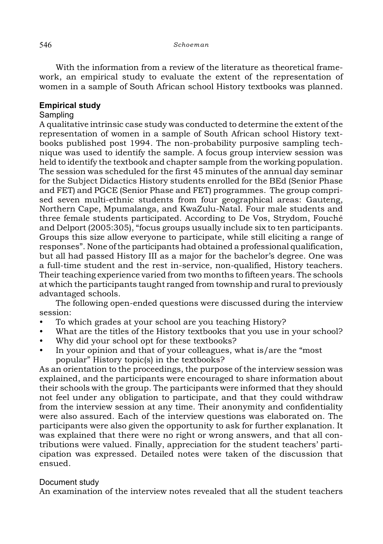With the information from a review of the literature as theoretical framework, an empirical study to evaluate the extent of the representation of women in a sample of South African school History textbooks was planned.

# **Empirical study**

# **Sampling**

A qualitative intrinsic case study was conducted to determine the extent of the representation of women in a sample of South African school History textbooks published post 1994. The non-probability purposive sampling technique was used to identify the sample. A focus group interview session was held to identify the textbook and chapter sample from the working population. The session was scheduled for the first 45 minutes of the annual day seminar for the Subject Didactics History students enrolled for the BEd (Senior Phase and FET) and PGCE (Senior Phase and FET) programmes. The group comprised seven multi-ethnic students from four geographical areas: Gauteng, Northern Cape, Mpumalanga, and KwaZulu-Natal. Four male students and three female students participated. According to De Vos, Strydom, Fouché and Delport (2005:305), "focus groups usually include six to ten participants. Groups this size allow everyone to participate, while still eliciting a range of responses". None of the participants had obtained a professional qualification, but all had passed History III as a major for the bachelor's degree. One was a full-time student and the rest in-service, non-qualified, History teachers. Their teaching experience varied from two months to fifteen years. The schools at which the participants taught ranged from township and rural to previously advantaged schools.

The following open-ended questions were discussed during the interview session:

- To which grades at your school are you teaching History?
- What are the titles of the History textbooks that you use in your school?
- Why did your school opt for these textbooks?
- In your opinion and that of your colleagues, what is/are the "most popular" History topic(s) in the textbooks?

As an orientation to the proceedings, the purpose of the interview session was explained, and the participants were encouraged to share information about their schools with the group. The participants were informed that they should not feel under any obligation to participate, and that they could withdraw from the interview session at any time. Their anonymity and confidentiality were also assured. Each of the interview questions was elaborated on. The participants were also given the opportunity to ask for further explanation. It was explained that there were no right or wrong answers, and that all contributions were valued. Finally, appreciation for the student teachers' participation was expressed. Detailed notes were taken of the discussion that ensued.

# Document study

An examination of the interview notes revealed that all the student teachers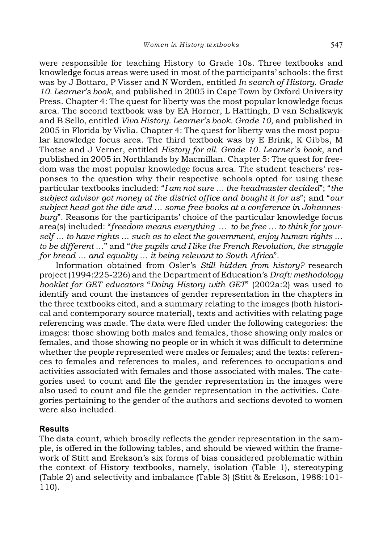were responsible for teaching History to Grade 10s. Three textbooks and knowledge focus areas were used in most of the participants' schools: the first was by J Bottaro, P Visser and N Worden, entitled *In search of History. Grade 10. Learner's book*, and published in 2005 in Cape Town by Oxford University Press. Chapter 4: The quest for liberty was the most popular knowledge focus area. The second textbook was by EA Horner, L Hattingh, D van Schalkwyk and B Sello, entitled *Viva History. Learner's book. Grade 10*, and published in 2005 in Florida by Vivlia. Chapter 4: The quest for liberty was the most popular knowledge focus area. The third textbook was by E Brink, K Gibbs, M Thotse and J Verner, entitled *History for all. Grade 10. Learner's book*, and published in 2005 in Northlands by Macmillan. Chapter 5: The quest for freedom was the most popular knowledge focus area. The student teachers' responses to the question why their respective schools opted for using these particular textbooks included: "*I am not sure … the headmaster decided*"; "*the subject advisor got money at the district office and bought it for us*"; and "*our subject head got the title and … some free books at a conference in Johannesburg*". Reasons for the participants' choice of the particular knowledge focus area(s) included: "*freedom means everything … to be free … to think for yourself … to have rights … such as to elect the government, enjoy human rights … to be different* …" and "*the pupils and I like the French Revolution, the struggle for bread … and equality … it being relevant to South Africa*".

Information obtained from Osler's *Still hidden from history?* research project (1994:225-226) and the Department of Education's *Draft: methodology booklet for GET educators* "*Doing History with GET*" (2002a:2) was used to identify and count the instances of gender representation in the chapters in the three textbooks cited, and a summary relating to the images (both historical and contemporary source material), texts and activities with relating page referencing was made. The data were filed under the following categories: the images: those showing both males and females, those showing only males or females, and those showing no people or in which it was difficult to determine whether the people represented were males or females; and the texts: references to females and references to males, and references to occupations and activities associated with females and those associated with males. The categories used to count and file the gender representation in the images were also used to count and file the gender representation in the activities. Categories pertaining to the gender of the authors and sections devoted to women were also included.

#### **Results**

The data count, which broadly reflects the gender representation in the sample, is offered in the following tables, and should be viewed within the framework of Stitt and Erekson's six forms of bias considered problematic within the context of History textbooks, namely, isolation (Table 1), stereotyping (Table 2) and selectivity and imbalance (Table 3) (Stitt & Erekson, 1988:101- 110).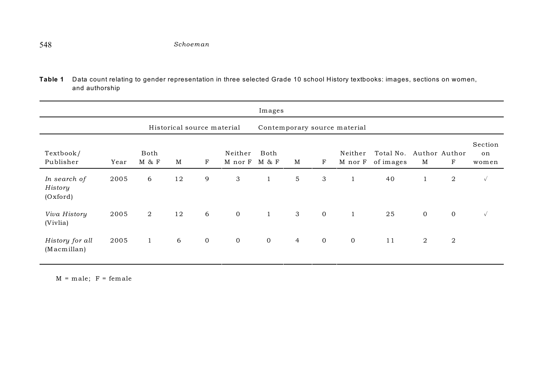**Table 1** Data count relating to gender representation in three selected Grade 10 school History textbooks: images, sections on women, and authorship

|                                     |      |                            |    |                |                              | Images        |                |             |                    |                        |                    |                |                        |
|-------------------------------------|------|----------------------------|----|----------------|------------------------------|---------------|----------------|-------------|--------------------|------------------------|--------------------|----------------|------------------------|
|                                     |      | Historical source material |    |                | Contemporary source material |               |                |             |                    |                        |                    |                |                        |
| Textbook/<br>Publisher              | Year | Both<br>M & F              | M  | $_{\rm F}$     | Neither<br>M nor F           | Both<br>M & F | M              | F           | Neither<br>M nor F | Total No.<br>of images | Author Author<br>M | F              | Section<br>on<br>women |
| In search of<br>History<br>(Oxford) | 2005 | 6                          | 12 | 9              | 3                            | $\mathbf{1}$  | 5              | 3           | $\mathbf{1}$       | 40                     | $\mathbf{1}$       | $\overline{2}$ | $\sqrt{ }$             |
| Viva History<br>(Vivlia)            | 2005 | $\overline{2}$             | 12 | 6              | $\mathbf 0$                  | $\mathbf{1}$  | 3              | $\mathbf 0$ | $\mathbf{1}$       | 25                     | $\overline{0}$     | $\overline{0}$ | $\sqrt{ }$             |
| History for all<br>(Macmillan)      | 2005 | $\mathbf{1}$               | 6  | $\overline{0}$ | $\mathbf 0$                  | $\mathbf 0$   | $\overline{4}$ | $\mathbf 0$ | $\mathbf 0$        | 11                     | 2                  | $\overline{2}$ |                        |

 $M = male; F = female$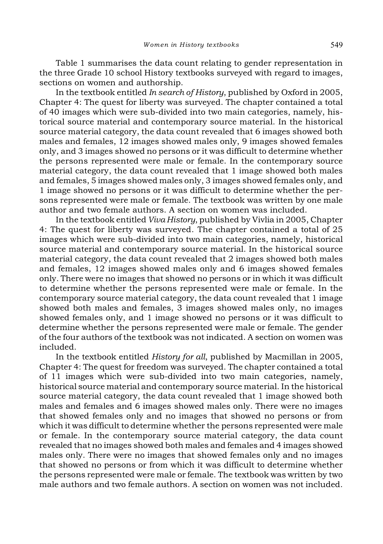Table 1 summarises the data count relating to gender representation in the three Grade 10 school History textbooks surveyed with regard to images, sections on women and authorship.

In the textbook entitled *In search of History*, published by Oxford in 2005, Chapter 4: The quest for liberty was surveyed. The chapter contained a total of 40 images which were sub-divided into two main categories, namely, historical source material and contemporary source material. In the historical source material category, the data count revealed that 6 images showed both males and females, 12 images showed males only, 9 images showed females only, and 3 images showed no persons or it was difficult to determine whether the persons represented were male or female. In the contemporary source material category, the data count revealed that 1 image showed both males and females, 5 images showed males only, 3 images showed females only, and 1 image showed no persons or it was difficult to determine whether the persons represented were male or female. The textbook was written by one male author and two female authors. A section on women was included.

In the textbook entitled *Viva History*, published by Vivlia in 2005, Chapter 4: The quest for liberty was surveyed. The chapter contained a total of 25 images which were sub-divided into two main categories, namely, historical source material and contemporary source material. In the historical source material category, the data count revealed that 2 images showed both males and females, 12 images showed males only and 6 images showed females only. There were no images that showed no persons or in which it was difficult to determine whether the persons represented were male or female. In the contemporary source material category, the data count revealed that 1 image showed both males and females, 3 images showed males only, no images showed females only, and 1 image showed no persons or it was difficult to determine whether the persons represented were male or female. The gender of the four authors of the textbook was not indicated. A section on women was included.

In the textbook entitled *History for all*, published by Macmillan in 2005, Chapter 4: The quest for freedom was surveyed. The chapter contained a total of 11 images which were sub-divided into two main categories, namely, historical source material and contemporary source material. In the historical source material category, the data count revealed that 1 image showed both males and females and 6 images showed males only. There were no images that showed females only and no images that showed no persons or from which it was difficult to determine whether the persons represented were male or female. In the contemporary source material category, the data count revealed that no images showed both males and females and 4 images showed males only. There were no images that showed females only and no images that showed no persons or from which it was difficult to determine whether the persons represented were male or female. The textbook was written by two male authors and two female authors. A section on women was not included.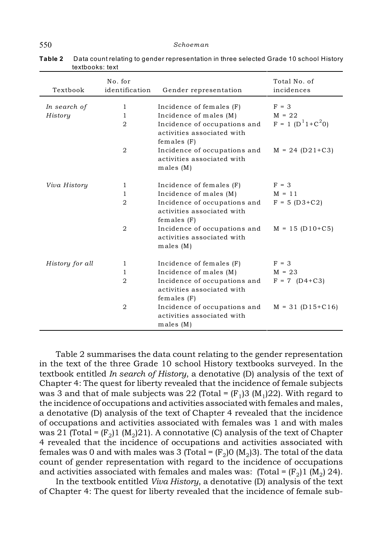| Textbook        | No. for<br>identification | Gender representation                                                          | Total No. of<br>incidences |
|-----------------|---------------------------|--------------------------------------------------------------------------------|----------------------------|
| In search of    | $\mathbf{1}$              | Incidence of females (F)                                                       | $F = 3$                    |
| History         | 1                         | Incidence of males (M)                                                         | $M = 22$                   |
|                 | $\mathfrak{D}$            | Incidence of occupations and<br>activities associated with<br>females $(F)$    | $F = 1 (D^{1}1 + C^{2}0)$  |
|                 | $\overline{2}$            | Incidence of occupations and<br>activities associated with<br>males(M)         | $M = 24 (D21 + C3)$        |
| Viva History    | 1                         | Incidence of females (F)                                                       | $F = 3$                    |
|                 | 1                         | Incidence of males (M)                                                         | $M = 11$                   |
|                 | $\overline{2}$            | Incidence of occupations and<br>activities associated with<br>$f$ emales $(F)$ | $F = 5 (D3 + C2)$          |
|                 | $\mathfrak{D}$            | Incidence of occupations and<br>activities associated with<br>males(M)         | $M = 15 (D10+C5)$          |
| History for all | 1                         | Incidence of females (F)                                                       | $F = 3$                    |
|                 | $\mathbf{1}$              | Incidence of males (M)                                                         | $M = 23$                   |
|                 | $\overline{2}$            | Incidence of occupations and                                                   | $F = 7$ (D4+C3)            |
|                 |                           | activities associated with<br>females $(F)$                                    |                            |
|                 | $\overline{2}$            | Incidence of occupations and<br>activities associated with<br>males(M)         | $M = 31 (D15+C16)$         |

**Table 2** Data count relating to gender representation in three selected Grade 10 school History textbooks: text

Table 2 summarises the data count relating to the gender representation in the text of the three Grade 10 school History textbooks surveyed. In the textbook entitled *In search of History*, a denotative (D) analysis of the text of Chapter 4: The quest for liberty revealed that the incidence of female subjects was 3 and that of male subjects was 22 (Total =  $(F_1)$ 3 (M<sub>1</sub>)22). With regard to the incidence of occupations and activities associated with females and males, a denotative (D) analysis of the text of Chapter 4 revealed that the incidence of occupations and activities associated with females was 1 and with males was 21 (Total =  $(F_0)1$  (M<sub>0</sub>)21). A connotative (C) analysis of the text of Chapter 4 revealed that the incidence of occupations and activities associated with females was 0 and with males was 3 (Total =  $(F_2)$  ( $M_2$ )3). The total of the data count of gender representation with regard to the incidence of occupations and activities associated with females and males was: (Total =  $(F_0)1$  (M<sub>0</sub>) 24).

In the textbook entitled *Viva History*, a denotative (D) analysis of the text of Chapter 4: The quest for liberty revealed that the incidence of female sub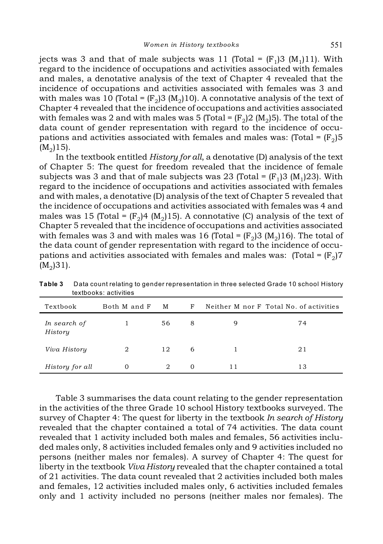jects was 3 and that of male subjects was 11 (Total =  $(F_1)3$  (M<sub>1</sub>)11). With regard to the incidence of occupations and activities associated with females and males, a denotative analysis of the text of Chapter 4 revealed that the incidence of occupations and activities associated with females was 3 and with males was 10 (Total =  $(F_2)$ 3 (M<sub>2</sub>)10). A connotative analysis of the text of Chapter 4 revealed that the incidence of occupations and activities associated with females was 2 and with males was 5 (Total =  $(F_2)$ ) (M<sub>2</sub>)5). The total of the data count of gender representation with regard to the incidence of occupations and activities associated with females and males was: (Total =  $(\mathrm{F}_2)5$  $(M_2)15$ ).

In the textbook entitled *History for all*, a denotative (D) analysis of the text of Chapter 5: The quest for freedom revealed that the incidence of female subjects was 3 and that of male subjects was 23 (Total =  $(F_1)$ 3 (M<sub>1</sub>)23). With regard to the incidence of occupations and activities associated with females and with males, a denotative (D) analysis of the text of Chapter 5 revealed that the incidence of occupations and activities associated with females was 4 and males was 15 (Total =  $(F_2)$ 4 (M<sub>2</sub>)15). A connotative (C) analysis of the text of Chapter 5 revealed that the incidence of occupations and activities associated with females was 3 and with males was 16 (Total =  $(F_0)$ 3 (M<sub>0</sub>)16). The total of the data count of gender representation with regard to the incidence of occupations and activities associated with females and males was:  $( \text{Total} = (\text{F}_2) \text{7}$  $(M_2)31$ .

| tevinnova delivilies    |              |    |          |    |                                         |
|-------------------------|--------------|----|----------|----|-----------------------------------------|
| Textbook                | Both M and F | M  | F        |    | Neither M nor F Total No. of activities |
| In search of<br>History |              | 56 | 8        | 9  | 74                                      |
| Viva History            | 2            | 12 | 6        |    | 21                                      |
| History for all         | 0            | 2  | $\Omega$ | 11 | 13                                      |

**Table 3** Data count relating to gender representation in three selected Grade 10 school History textbooks: activities

Table 3 summarises the data count relating to the gender representation in the activities of the three Grade 10 school History textbooks surveyed. The survey of Chapter 4: The quest for liberty in the textbook *In search of History* revealed that the chapter contained a total of 74 activities. The data count revealed that 1 activity included both males and females, 56 activities included males only, 8 activities included females only and 9 activities included no persons (neither males nor females). A survey of Chapter 4: The quest for liberty in the textbook *Viva History* revealed that the chapter contained a total of 21 activities. The data count revealed that 2 activities included both males and females, 12 activities included males only, 6 activities included females only and 1 activity included no persons (neither males nor females). The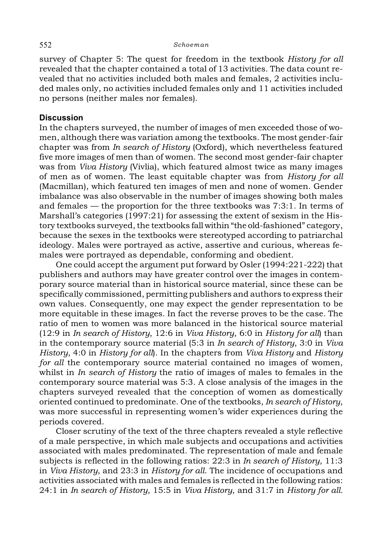#### 552 *Schoeman*

survey of Chapter 5: The quest for freedom in the textbook *History for all* revealed that the chapter contained a total of 13 activities. The data count revealed that no activities included both males and females, 2 activities included males only, no activities included females only and 11 activities included no persons (neither males nor females).

# **Discussion**

In the chapters surveyed, the number of images of men exceeded those of women, although there was variation among the textbooks. The most gender-fair chapter was from *In search of History* (Oxford), which nevertheless featured five more images of men than of women. The second most gender-fair chapter was from *Viva History* (Vivlia), which featured almost twice as many images of men as of women. The least equitable chapter was from *History for all* (Macmillan), which featured ten images of men and none of women. Gender imbalance was also observable in the number of images showing both males and females — the proportion for the three textbooks was 7:3:1. In terms of Marshall's categories (1997:21) for assessing the extent of sexism in the History textbooks surveyed, the textbooks fall within "the old-fashioned" category, because the sexes in the textbooks were stereotyped according to patriarchal ideology. Males were portrayed as active, assertive and curious, whereas females were portrayed as dependable, conforming and obedient.

One could accept the argument put forward by Osler (1994:221-222) that publishers and authors may have greater control over the images in contemporary source material than in historical source material, since these can be specifically commissioned, permitting publishers and authors to express their own values. Consequently, one may expect the gender representation to be more equitable in these images. In fact the reverse proves to be the case. The ratio of men to women was more balanced in the historical source material (12:9 in *In search of History*, 12:6 in *Viva History*, 6:0 in *History for all*) than in the contemporary source material (5:3 in *In search of History*, 3:0 in *Viva History*, 4:0 in *History for all*). In the chapters from *Viva History* and *History for all* the contemporary source material contained no images of women, whilst in *In search of History* the ratio of images of males to females in the contemporary source material was 5:3. A close analysis of the images in the chapters surveyed revealed that the conception of women as domestically oriented continued to predominate. One of the textbooks, *In search of History*, was more successful in representing women's wider experiences during the periods covered.

Closer scrutiny of the text of the three chapters revealed a style reflective of a male perspective, in which male subjects and occupations and activities associated with males predominated. The representation of male and female subjects is reflected in the following ratios: 22:3 in *In search of History*, 11:3 in *Viva History*, and 23:3 in *History for all*. The incidence of occupations and activities associated with males and females is reflected in the following ratios: 24:1 in *In search of History*, 15:5 in *Viva History*, and 31:7 in *History for all.*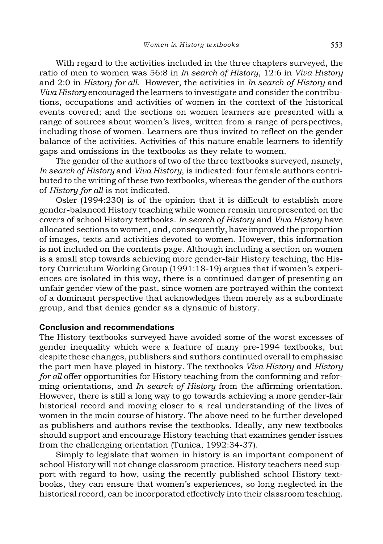With regard to the activities included in the three chapters surveyed, the ratio of men to women was 56:8 in *In search of History*, 12:6 in *Viva History* and 2:0 in *History for all*. However, the activities in *In search of History* and *Viva History* encouraged the learners to investigate and consider the contributions, occupations and activities of women in the context of the historical events covered; and the sections on women learners are presented with a range of sources about women's lives, written from a range of perspectives, including those of women. Learners are thus invited to reflect on the gender balance of the activities. Activities of this nature enable learners to identify gaps and omissions in the textbooks as they relate to women.

The gender of the authors of two of the three textbooks surveyed, namely, *In search of History* and *Viva History*, is indicated: four female authors contributed to the writing of these two textbooks, whereas the gender of the authors of *History for all* is not indicated.

Osler (1994:230) is of the opinion that it is difficult to establish more gender-balanced History teaching while women remain unrepresented on the covers of school History textbooks. *In search of History* and *Viva History* have allocated sections to women, and, consequently, have improved the proportion of images, texts and activities devoted to women. However, this information is not included on the contents page. Although including a section on women is a small step towards achieving more gender-fair History teaching, the History Curriculum Working Group (1991:18-19) argues that if women's experiences are isolated in this way, there is a continued danger of presenting an unfair gender view of the past, since women are portrayed within the context of a dominant perspective that acknowledges them merely as a subordinate group, and that denies gender as a dynamic of history.

# **Conclusion and recommendations**

The History textbooks surveyed have avoided some of the worst excesses of gender inequality which were a feature of many pre-1994 textbooks, but despite these changes, publishers and authors continued overall to emphasise the part men have played in history. The textbooks *Viva History* and *History for all* offer opportunities for History teaching from the conforming and reforming orientations, and *In search of History* from the affirming orientation. However, there is still a long way to go towards achieving a more gender-fair historical record and moving closer to a real understanding of the lives of women in the main course of history. The above need to be further developed as publishers and authors revise the textbooks. Ideally, any new textbooks should support and encourage History teaching that examines gender issues from the challenging orientation (Tunica, 1992:34-37).

Simply to legislate that women in history is an important component of school History will not change classroom practice. History teachers need support with regard to how, using the recently published school History textbooks, they can ensure that women's experiences, so long neglected in the historical record, can be incorporated effectively into their classroom teaching.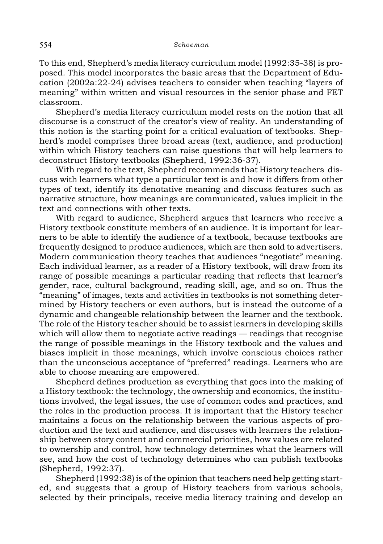To this end, Shepherd's media literacy curriculum model (1992:35-38) is proposed. This model incorporates the basic areas that the Department of Education (2002a:22-24) advises teachers to consider when teaching "layers of meaning" within written and visual resources in the senior phase and FET classroom.

Shepherd's media literacy curriculum model rests on the notion that all discourse is a construct of the creator's view of reality. An understanding of this notion is the starting point for a critical evaluation of textbooks. Shepherd's model comprises three broad areas (text, audience, and production) within which History teachers can raise questions that will help learners to deconstruct History textbooks (Shepherd, 1992:36-37).

With regard to the text, Shepherd recommends that History teachers discuss with learners what type a particular text is and how it differs from other types of text, identify its denotative meaning and discuss features such as narrative structure, how meanings are communicated, values implicit in the text and connections with other texts.

With regard to audience, Shepherd argues that learners who receive a History textbook constitute members of an audience. It is important for learners to be able to identify the audience of a textbook, because textbooks are frequently designed to produce audiences, which are then sold to advertisers. Modern communication theory teaches that audiences "negotiate" meaning. Each individual learner, as a reader of a History textbook, will draw from its range of possible meanings a particular reading that reflects that learner's gender, race, cultural background, reading skill, age, and so on. Thus the "meaning" of images, texts and activities in textbooks is not something determined by History teachers or even authors, but is instead the outcome of a dynamic and changeable relationship between the learner and the textbook. The role of the History teacher should be to assist learners in developing skills which will allow them to negotiate active readings — readings that recognise the range of possible meanings in the History textbook and the values and biases implicit in those meanings, which involve conscious choices rather than the unconscious acceptance of "preferred" readings. Learners who are able to choose meaning are empowered.

Shepherd defines production as everything that goes into the making of a History textbook: the technology, the ownership and economics, the institutions involved, the legal issues, the use of common codes and practices, and the roles in the production process. It is important that the History teacher maintains a focus on the relationship between the various aspects of production and the text and audience, and discusses with learners the relationship between story content and commercial priorities, how values are related to ownership and control, how technology determines what the learners will see, and how the cost of technology determines who can publish textbooks (Shepherd, 1992:37).

Shepherd (1992:38) is of the opinion that teachers need help getting started, and suggests that a group of History teachers from various schools, selected by their principals, receive media literacy training and develop an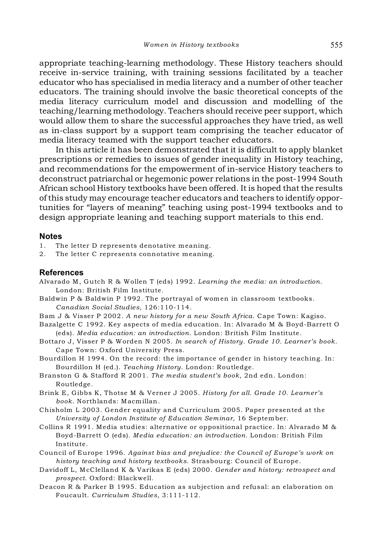appropriate teaching-learning methodology. These History teachers should receive in-service training, with training sessions facilitated by a teacher educator who has specialised in media literacy and a number of other teacher educators. The training should involve the basic theoretical concepts of the media literacy curriculum model and discussion and modelling of the teaching/learning methodology. Teachers should receive peer support, which would allow them to share the successful approaches they have tried, as well as in-class support by a support team comprising the teacher educator of media literacy teamed with the support teacher educators.

In this article it has been demonstrated that it is difficult to apply blanket prescriptions or remedies to issues of gender inequality in History teaching, and recommendations for the empowerment of in-service History teachers to deconstruct patriarchal or hegemonic power relations in the post-1994 South African school History textbooks have been offered. It is hoped that the results of this study may encourage teacher educators and teachers to identify opportunities for "layers of meaning" teaching using post-1994 textbooks and to design appropriate leaning and teaching support materials to this end.

# **Notes**

- The letter D represents denotative meaning.
- 2. The letter C represents connotative meaning.

#### **References**

- Alvarado M, Gutch R & Wollen T (eds) 1992. *Learning the media: an introduction*. London: British Film Institute.
- Baldwin P & Baldwin P 1992. The portrayal of women in classroom textbooks. *Canadian Social Studies*, 126:110-114.
- Bam J & Visser P 2002. *A new history for a new South Africa*. Cape Town: Kagiso.
- Bazalgette C 1992. Key aspects of media education. In: Alvarado M & Boyd-Barrett O (eds). *Media education: an introduction*. London: British Film Institute.
- Bottaro J, Visser P & Worden N 2005. *In search of History. Grade 10. Learner's book*. Cape Town: Oxford University Press.
- Bourdillon H 1994. On the record: the importance of gender in history teaching. In: Bourdillon H (ed.). *Teaching History*. London: Routledge.
- Branston G & Stafford R 2001. *The media student's book*, 2nd edn. London: Routledge.
- Brink E, Gibbs K, Thotse M & Verner J 2005. *History for all. Grade 10. Learner's book*. Northlands: Macmillan.
- Chisholm L 2003. Gender equality and Curriculum 2005. Paper presented at the *University of London Institute of Education Seminar*, 16 September.
- Collins R 1991. Media studies: alternative or oppositional practice. In: Alvarado M & Boyd-Barrett O (eds). *Media education: an introduction*. London: British Film Institute.
- Council of Europe 1996. *Against bias and prejudice: the Council of Europe's work on history teaching and history textbooks*. Strasbourg: Council of Europe.
- Davidoff L, McClelland K & Varikas E (eds) 2000. *Gender and history: retrospect and prospect*. Oxford: Blackwell.
- Deacon R & Parker B 1995. Education as subjection and refusal: an elaboration on Foucault. *Curriculum Studies*, 3:111-112.